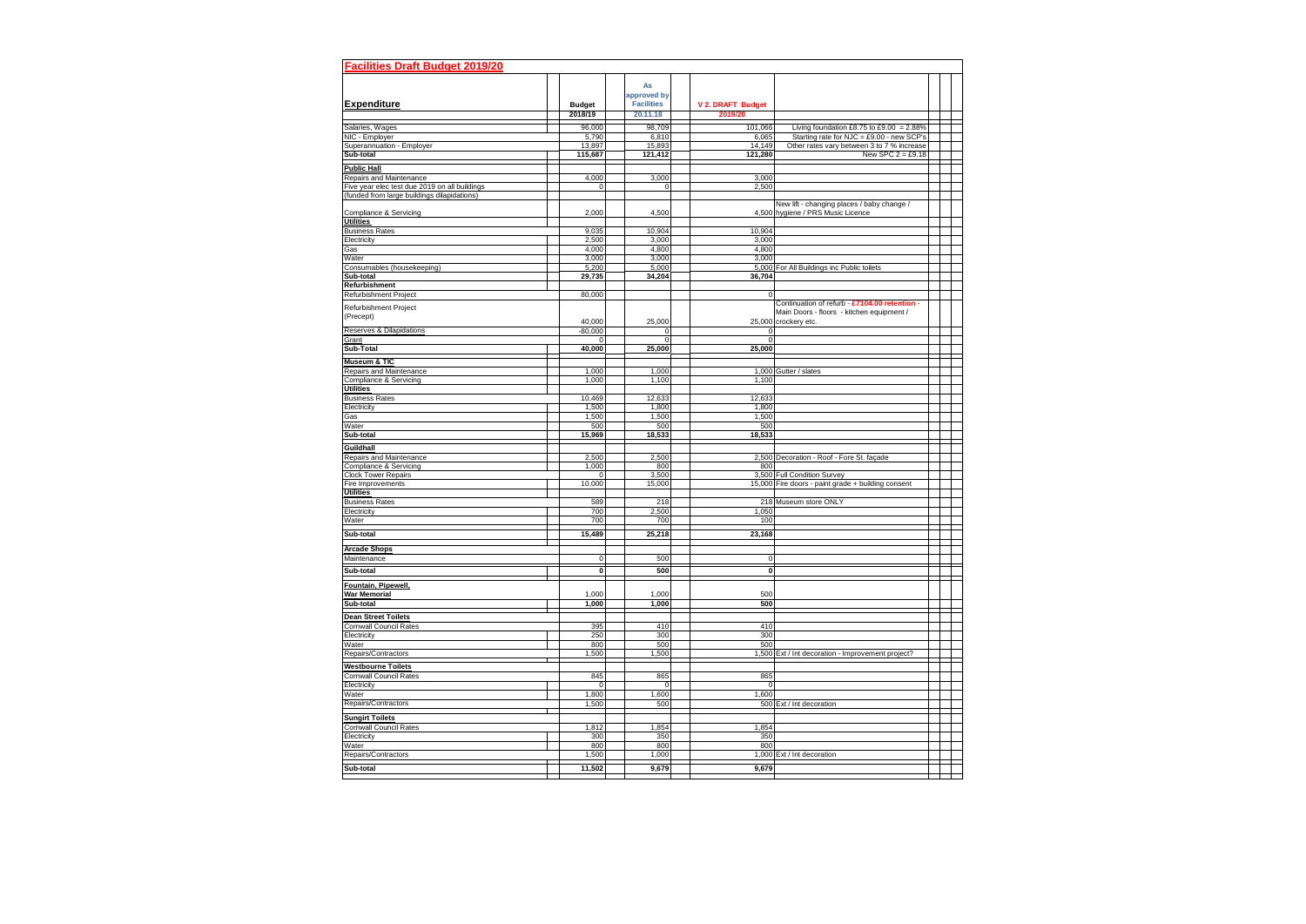| <b>Facilities Draft Budget 2019/20</b>                                                       |                             |                               |                         |                                                                                   |  |  |
|----------------------------------------------------------------------------------------------|-----------------------------|-------------------------------|-------------------------|-----------------------------------------------------------------------------------|--|--|
|                                                                                              |                             | As                            |                         |                                                                                   |  |  |
|                                                                                              |                             | approved by                   |                         |                                                                                   |  |  |
| <b>Expenditure</b>                                                                           | <b>Budget</b>               | <b>Facilities</b>             | V 2. DRAFT Budget       |                                                                                   |  |  |
|                                                                                              | 2018/19                     | 20.11.18                      | 2019/20                 |                                                                                   |  |  |
| Salaries, Wages                                                                              | 96,000                      | 98,709                        | 101,066                 | Living foundation £8.75 to £9.00 = 2.88%                                          |  |  |
| NIC - Employer                                                                               | 5,790                       | 6,810                         | 6,065                   | Starting rate for $NJC = £9.00 - new SCP's$                                       |  |  |
| Superannuation - Employer                                                                    | 13,897                      | 15,893                        | 14,149                  | Other rates vary between 3 to 7 % increase                                        |  |  |
| Sub-total                                                                                    | 115,687                     | 121,412                       | 121,280                 | New SPC $2 = £9.18$                                                               |  |  |
| <b>Public Hall</b>                                                                           |                             |                               |                         |                                                                                   |  |  |
| Repairs and Maintenance                                                                      | 4,000                       | 3,000                         | 3,000                   |                                                                                   |  |  |
| Five year elec test due 2019 on all buildings<br>(funded from large buildings dilapidations) | $\overline{0}$              | $\mathbf 0$                   | 2,500                   |                                                                                   |  |  |
|                                                                                              |                             |                               |                         | New lift - changing places / baby change /                                        |  |  |
| Compliance & Servicing                                                                       | 2,000                       | 4,500                         |                         | 4,500 hygiene / PRS Music Licence                                                 |  |  |
| <b>Utilities</b>                                                                             |                             |                               |                         |                                                                                   |  |  |
| <b>Business Rates</b><br>Electricity                                                         | 9,035<br>2,500              | 10,904<br>3,000               | 10,904<br>3,000         |                                                                                   |  |  |
| Gas                                                                                          | 4,000                       | 4,800                         | 4,800                   |                                                                                   |  |  |
| Water                                                                                        | 3,000                       | 3,000                         | 3,000                   |                                                                                   |  |  |
| Consumables (housekeeping)                                                                   | 5,200                       | 5,000                         |                         | 5,000 For All Buildings inc Public toilets                                        |  |  |
| Sub-total<br><b>Refurbishment</b>                                                            | 29,735                      | 34,204                        | 36,704                  |                                                                                   |  |  |
| <b>Refurbishment Project</b>                                                                 | 80,000                      |                               | $\Omega$                |                                                                                   |  |  |
|                                                                                              |                             |                               |                         | Continuation of refurb - £7104.00 retention -                                     |  |  |
| Refurbishment Project<br>(Precept)                                                           |                             |                               |                         | Main Doors - floors - kitchen equipment /                                         |  |  |
|                                                                                              | 40,000                      | 25,000                        |                         | 25,000 crockery etc.                                                              |  |  |
| <b>Reserves &amp; Dilapidations</b><br>Grant                                                 | $-80,000$<br>$\overline{0}$ | $\mathbf 0$<br>$\overline{0}$ | $\Omega$<br>$\mathbf 0$ |                                                                                   |  |  |
| Sub-Total                                                                                    | 40,000                      | 25,000                        | 25,000                  |                                                                                   |  |  |
| <b>Museum &amp; TIC</b>                                                                      |                             |                               |                         |                                                                                   |  |  |
| Repairs and Maintenance                                                                      | 1,000                       | 1,000                         |                         | 1,000 Gutter / slates                                                             |  |  |
| Compliance & Servicing                                                                       | 1,000                       | 1,100                         | 1,100                   |                                                                                   |  |  |
| <b>Utilities</b>                                                                             |                             |                               |                         |                                                                                   |  |  |
| <b>Business Rates</b>                                                                        | 10,469                      | 12,633                        | 12,633                  |                                                                                   |  |  |
| Electricity<br>Gas                                                                           | 1,500<br>1,500              | 1,800<br>1,500                | 1,800<br>1,500          |                                                                                   |  |  |
| Water                                                                                        | 500                         | 500                           | 500                     |                                                                                   |  |  |
| Sub-total                                                                                    | 15,969                      | 18,533                        | 18,533                  |                                                                                   |  |  |
| Guildhall                                                                                    |                             |                               |                         |                                                                                   |  |  |
| Repairs and Maintenance                                                                      | 2,500                       | 2,500                         |                         | 2,500 Decoration - Roof - Fore St. façade                                         |  |  |
| Compliance & Servicing                                                                       | 1,000                       | 800                           | 800                     |                                                                                   |  |  |
| <b>Clock Tower Repairs</b><br>Fire Improvements                                              | $\Omega$<br>10,000          | 3,500<br>15,000               |                         | 3,500 Full Condition Survey<br>15,000 Fire doors - paint grade + building consent |  |  |
| <b>Utilities</b>                                                                             |                             |                               |                         |                                                                                   |  |  |
| <b>Business Rates</b>                                                                        | 589                         | 218                           |                         | 218 Museum store ONLY                                                             |  |  |
| Electricity                                                                                  | 700                         | 2,500                         | 1,050                   |                                                                                   |  |  |
| Water                                                                                        | 700                         | 700                           | 100                     |                                                                                   |  |  |
| Sub-total                                                                                    | 15,489                      | 25,218                        | 23,168                  |                                                                                   |  |  |
| <b>Arcade Shops</b>                                                                          |                             |                               |                         |                                                                                   |  |  |
| Maintenance                                                                                  | $\overline{0}$              | 500                           | $\mathbf 0$             |                                                                                   |  |  |
| Sub-total                                                                                    | $\mathbf{0}$                | 500                           | $\mathbf{0}$            |                                                                                   |  |  |
| Fountain, Pipewell,                                                                          |                             |                               |                         |                                                                                   |  |  |
| <b>War Memorial</b>                                                                          | 1,000                       | 1,000                         | 500                     |                                                                                   |  |  |
| Sub-total                                                                                    | 1,000                       | 1,000                         | 500                     |                                                                                   |  |  |
| <b>Dean Street Toilets</b>                                                                   |                             |                               |                         |                                                                                   |  |  |
| <b>Cornwall Council Rates</b>                                                                | 395                         | 410                           | 410                     |                                                                                   |  |  |
| Electricity                                                                                  | 250                         | 300                           | 300                     |                                                                                   |  |  |
| Water<br>Repairs/Contractors                                                                 | 800                         | 500                           | 500                     |                                                                                   |  |  |
|                                                                                              | 1,500                       | 1,500                         |                         | 1,500 Ext / Int decoration - Improvement project?                                 |  |  |
| <b>Westbourne Toilets</b><br><b>Cornwall Council Rates</b>                                   | 845                         | 865                           | 865                     |                                                                                   |  |  |
| Electricity                                                                                  | $\overline{0}$              | $\mathbf 0$                   | $\mathbf 0$             |                                                                                   |  |  |
| Water                                                                                        | 1,800                       | 1,600                         | 1,600                   |                                                                                   |  |  |
| Repairs/Contractors                                                                          | 1,500                       | 500                           |                         | 500 Ext / Int decoration                                                          |  |  |
| <b>Sungirt Toilets</b>                                                                       |                             |                               |                         |                                                                                   |  |  |
| <b>Cornwall Council Rates</b>                                                                | 1,812                       | 1,854                         | 1,854                   |                                                                                   |  |  |
| Electricity                                                                                  | 300                         | 350                           | 350                     |                                                                                   |  |  |
| Water                                                                                        | 800                         | 800                           | 800                     |                                                                                   |  |  |
| Repairs/Contractors                                                                          | 1,500                       | 1,000                         |                         | 1,000 Ext / Int decoration                                                        |  |  |
| Sub-total                                                                                    | 11,502                      | 9,679                         | 9,679                   |                                                                                   |  |  |
|                                                                                              |                             |                               |                         |                                                                                   |  |  |